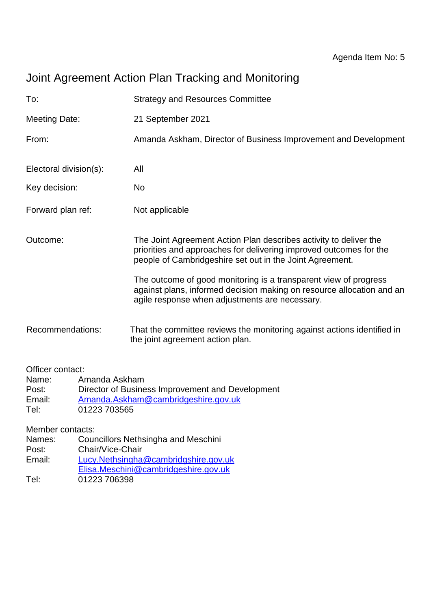# Joint Agreement Action Plan Tracking and Monitoring

| To:                                                                                         |                                                   | <b>Strategy and Resources Committee</b>                                                                                                                                                             |
|---------------------------------------------------------------------------------------------|---------------------------------------------------|-----------------------------------------------------------------------------------------------------------------------------------------------------------------------------------------------------|
| <b>Meeting Date:</b>                                                                        |                                                   | 21 September 2021                                                                                                                                                                                   |
| From:                                                                                       |                                                   | Amanda Askham, Director of Business Improvement and Development                                                                                                                                     |
| Electoral division(s):                                                                      |                                                   | All                                                                                                                                                                                                 |
| Key decision:                                                                               |                                                   | <b>No</b>                                                                                                                                                                                           |
| Forward plan ref:                                                                           |                                                   | Not applicable                                                                                                                                                                                      |
| Outcome:                                                                                    |                                                   | The Joint Agreement Action Plan describes activity to deliver the<br>priorities and approaches for delivering improved outcomes for the<br>people of Cambridgeshire set out in the Joint Agreement. |
|                                                                                             |                                                   | The outcome of good monitoring is a transparent view of progress<br>against plans, informed decision making on resource allocation and an<br>agile response when adjustments are necessary.         |
| Recommendations:                                                                            |                                                   | That the committee reviews the monitoring against actions identified in<br>the joint agreement action plan.                                                                                         |
| Officer contact:<br>Name:<br>Post:<br>Email:<br>Tel:<br>Member contacts:<br>Names:<br>Post: | Amanda Askham<br>01223 703565<br>Chair/Vice-Chair | Director of Business Improvement and Development<br>Amanda.Askham@cambridgeshire.gov.uk<br><b>Councillors Nethsingha and Meschini</b>                                                               |
|                                                                                             |                                                   | $\mathbf{a}$ and $\mathbf{a}$ and $\mathbf{a}$                                                                                                                                                      |

- Email: [Lucy.Nethsingha@cambridgshire.gov.uk](mailto:Lucy.Nethsingha@cambridgshire.gov.uk)
- [Elisa.Meschini@cambridgeshire.gov.uk](mailto:Elisa.Meschini@cambridgeshire.gov.uk)
- Tel: 01223 706398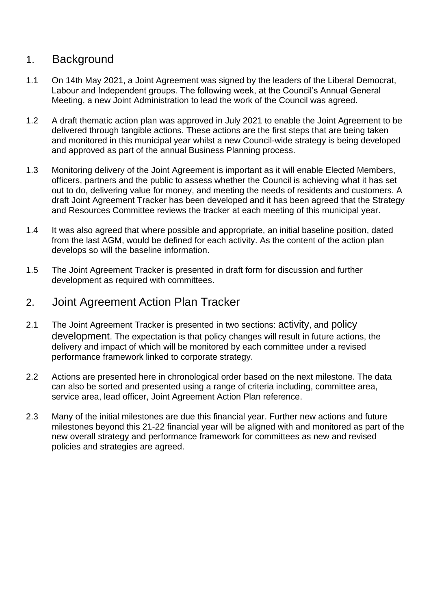## 1. Background

- 1.1 On 14th May 2021, a Joint Agreement was signed by the leaders of the Liberal Democrat, Labour and Independent groups. The following week, at the Council's Annual General Meeting, a new Joint Administration to lead the work of the Council was agreed.
- 1.2 A draft thematic action plan was approved in July 2021 to enable the Joint Agreement to be delivered through tangible actions. These actions are the first steps that are being taken and monitored in this municipal year whilst a new Council-wide strategy is being developed and approved as part of the annual Business Planning process.
- 1.3 Monitoring delivery of the Joint Agreement is important as it will enable Elected Members, officers, partners and the public to assess whether the Council is achieving what it has set out to do, delivering value for money, and meeting the needs of residents and customers. A draft Joint Agreement Tracker has been developed and it has been agreed that the Strategy and Resources Committee reviews the tracker at each meeting of this municipal year.
- 1.4 It was also agreed that where possible and appropriate, an initial baseline position, dated from the last AGM, would be defined for each activity. As the content of the action plan develops so will the baseline information.
- 1.5 The Joint Agreement Tracker is presented in draft form for discussion and further development as required with committees.

## 2. Joint Agreement Action Plan Tracker

- 2.1 The Joint Agreement Tracker is presented in two sections: activity, and policy development. The expectation is that policy changes will result in future actions, the delivery and impact of which will be monitored by each committee under a revised performance framework linked to corporate strategy.
- 2.2 Actions are presented here in chronological order based on the next milestone. The data can also be sorted and presented using a range of criteria including, committee area, service area, lead officer, Joint Agreement Action Plan reference.
- 2.3 Many of the initial milestones are due this financial year. Further new actions and future milestones beyond this 21-22 financial year will be aligned with and monitored as part of the new overall strategy and performance framework for committees as new and revised policies and strategies are agreed.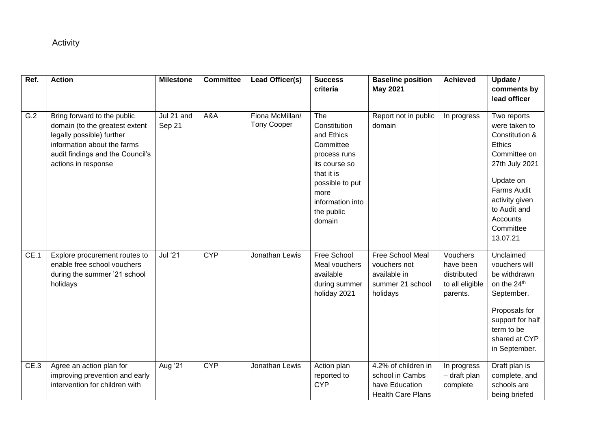#### **Activity**

| Ref. | <b>Action</b>                                                                                                                                                                        | <b>Milestone</b>     | <b>Committee</b> | Lead Officer(s)                       | <b>Success</b><br>criteria                                                                                                                                           | <b>Baseline position</b><br><b>May 2021</b>                                          | <b>Achieved</b>                                                     | Update /<br>comments by<br>lead officer                                                                                                                                                              |
|------|--------------------------------------------------------------------------------------------------------------------------------------------------------------------------------------|----------------------|------------------|---------------------------------------|----------------------------------------------------------------------------------------------------------------------------------------------------------------------|--------------------------------------------------------------------------------------|---------------------------------------------------------------------|------------------------------------------------------------------------------------------------------------------------------------------------------------------------------------------------------|
| G.2  | Bring forward to the public<br>domain (to the greatest extent<br>legally possible) further<br>information about the farms<br>audit findings and the Council's<br>actions in response | Jul 21 and<br>Sep 21 | A&A              | Fiona McMillan/<br><b>Tony Cooper</b> | The<br>Constitution<br>and Ethics<br>Committee<br>process runs<br>its course so<br>that it is<br>possible to put<br>more<br>information into<br>the public<br>domain | Report not in public<br>domain                                                       | In progress                                                         | Two reports<br>were taken to<br>Constitution &<br><b>Ethics</b><br>Committee on<br>27th July 2021<br>Update on<br>Farms Audit<br>activity given<br>to Audit and<br>Accounts<br>Committee<br>13.07.21 |
| CE.1 | Explore procurement routes to<br>enable free school vouchers<br>during the summer '21 school<br>holidays                                                                             | <b>Jul</b> '21       | <b>CYP</b>       | Jonathan Lewis                        | Free School<br>Meal vouchers<br>available<br>during summer<br>holiday 2021                                                                                           | Free School Meal<br>vouchers not<br>available in<br>summer 21 school<br>holidays     | Vouchers<br>have been<br>distributed<br>to all eligible<br>parents. | Unclaimed<br>vouchers will<br>be withdrawn<br>on the 24th<br>September.<br>Proposals for<br>support for half<br>term to be<br>shared at CYP<br>in September.                                         |
| CE.3 | Agree an action plan for<br>improving prevention and early<br>intervention for children with                                                                                         | Aug '21              | <b>CYP</b>       | Jonathan Lewis                        | Action plan<br>reported to<br><b>CYP</b>                                                                                                                             | 4.2% of children in<br>school in Cambs<br>have Education<br><b>Health Care Plans</b> | In progress<br>- draft plan<br>complete                             | Draft plan is<br>complete, and<br>schools are<br>being briefed                                                                                                                                       |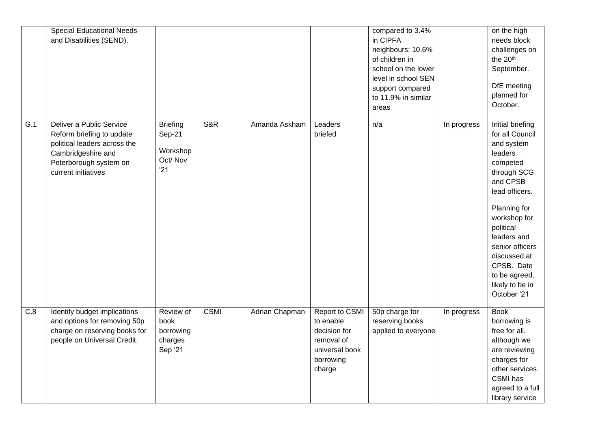|                  | <b>Special Educational Needs</b><br>and Disabilities (SEND).                                                                                                 |                                                         |                |                |                                                                                                    | compared to 3.4%<br>in CIPFA<br>neighbours; 10.6%<br>of children in<br>school on the lower<br>level in school SEN<br>support compared<br>to 11.9% in similar<br>areas |             | on the high<br>needs block<br>challenges on<br>the 20 <sup>th</sup><br>September.<br>DfE meeting<br>planned for<br>October.                                                                                                                                                           |
|------------------|--------------------------------------------------------------------------------------------------------------------------------------------------------------|---------------------------------------------------------|----------------|----------------|----------------------------------------------------------------------------------------------------|-----------------------------------------------------------------------------------------------------------------------------------------------------------------------|-------------|---------------------------------------------------------------------------------------------------------------------------------------------------------------------------------------------------------------------------------------------------------------------------------------|
| $\overline{G.1}$ | Deliver a Public Service<br>Reform briefing to update<br>political leaders across the<br>Cambridgeshire and<br>Peterborough system on<br>current initiatives | <b>Briefing</b><br>Sep-21<br>Workshop<br>Oct/Nov<br>'21 | <b>S&amp;R</b> | Amanda Askham  | Leaders<br>briefed                                                                                 | n/a                                                                                                                                                                   | In progress | Initial briefing<br>for all Council<br>and system<br>leaders<br>competed<br>through SCG<br>and CPSB<br>lead officers.<br>Planning for<br>workshop for<br>political<br>leaders and<br>senior officers<br>discussed at<br>CPSB. Date<br>to be agreed,<br>likely to be in<br>October '21 |
| C.8              | Identify budget implications<br>and options for removing 50p<br>charge on reserving books for<br>people on Universal Credit.                                 | Review of<br>book<br>borrowing<br>charges<br>Sep '21    | <b>CSMI</b>    | Adrian Chapman | Report to CSMI<br>to enable<br>decision for<br>removal of<br>universal book<br>borrowing<br>charge | 50p charge for<br>reserving books<br>applied to everyone                                                                                                              | In progress | <b>Book</b><br>borrowing is<br>free for all,<br>although we<br>are reviewing<br>charges for<br>other services.<br>CSMI has<br>agreed to a full<br>library service                                                                                                                     |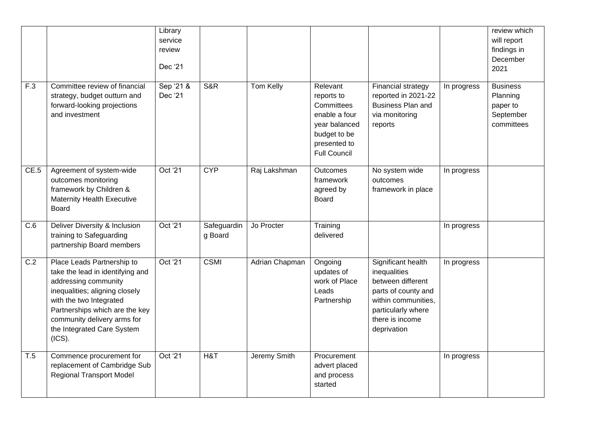|                  |                                                                                                                                                                                                                                                              | Library<br>service<br>review<br>Dec '21 |                        |                |                                                                                                                               |                                                                                                                                                               |             | review which<br>will report<br>findings in<br>December<br>2021     |
|------------------|--------------------------------------------------------------------------------------------------------------------------------------------------------------------------------------------------------------------------------------------------------------|-----------------------------------------|------------------------|----------------|-------------------------------------------------------------------------------------------------------------------------------|---------------------------------------------------------------------------------------------------------------------------------------------------------------|-------------|--------------------------------------------------------------------|
| F.3              | Committee review of financial<br>strategy, budget outturn and<br>forward-looking projections<br>and investment                                                                                                                                               | Sep '21 &<br>Dec '21                    | <b>S&amp;R</b>         | Tom Kelly      | Relevant<br>reports to<br>Committees<br>enable a four<br>year balanced<br>budget to be<br>presented to<br><b>Full Council</b> | Financial strategy<br>reported in 2021-22<br><b>Business Plan and</b><br>via monitoring<br>reports                                                            | In progress | <b>Business</b><br>Planning<br>paper to<br>September<br>committees |
| CE.5             | Agreement of system-wide<br>outcomes monitoring<br>framework by Children &<br><b>Maternity Health Executive</b><br><b>Board</b>                                                                                                                              | Oct '21                                 | <b>CYP</b>             | Raj Lakshman   | Outcomes<br>framework<br>agreed by<br>Board                                                                                   | No system wide<br>outcomes<br>framework in place                                                                                                              | In progress |                                                                    |
| C.6              | Deliver Diversity & Inclusion<br>training to Safeguarding<br>partnership Board members                                                                                                                                                                       | Oct '21                                 | Safeguardin<br>g Board | Jo Procter     | Training<br>delivered                                                                                                         |                                                                                                                                                               | In progress |                                                                    |
| $\overline{C.2}$ | Place Leads Partnership to<br>take the lead in identifying and<br>addressing community<br>inequalities; aligning closely<br>with the two Integrated<br>Partnerships which are the key<br>community delivery arms for<br>the Integrated Care System<br>(ICS). | Oct '21                                 | <b>CSMI</b>            | Adrian Chapman | Ongoing<br>updates of<br>work of Place<br>Leads<br>Partnership                                                                | Significant health<br>inequalities<br>between different<br>parts of county and<br>within communities.<br>particularly where<br>there is income<br>deprivation | In progress |                                                                    |
| T.5              | Commence procurement for<br>replacement of Cambridge Sub<br><b>Regional Transport Model</b>                                                                                                                                                                  | Oct '21                                 | H&T                    | Jeremy Smith   | Procurement<br>advert placed<br>and process<br>started                                                                        |                                                                                                                                                               | In progress |                                                                    |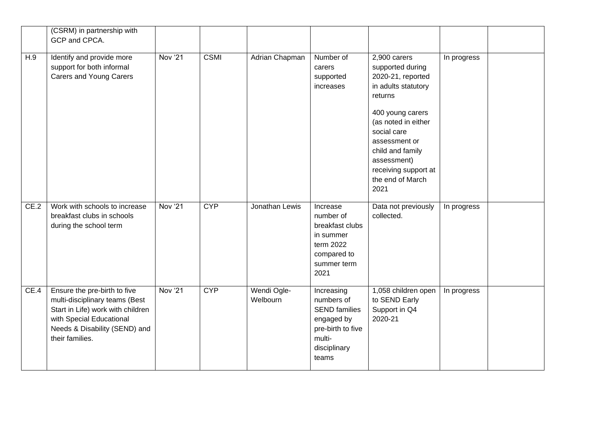|      | (CSRM) in partnership with<br>GCP and CPCA.                                                                                                                                         |                |             |                         |                                                                                                                        |                                                                                                                                                                                                                                                           |             |  |
|------|-------------------------------------------------------------------------------------------------------------------------------------------------------------------------------------|----------------|-------------|-------------------------|------------------------------------------------------------------------------------------------------------------------|-----------------------------------------------------------------------------------------------------------------------------------------------------------------------------------------------------------------------------------------------------------|-------------|--|
| H.9  | Identify and provide more<br>support for both informal<br><b>Carers and Young Carers</b>                                                                                            | Nov '21        | <b>CSMI</b> | Adrian Chapman          | Number of<br>carers<br>supported<br>increases                                                                          | 2,900 carers<br>supported during<br>2020-21, reported<br>in adults statutory<br>returns<br>400 young carers<br>(as noted in either<br>social care<br>assessment or<br>child and family<br>assessment)<br>receiving support at<br>the end of March<br>2021 | In progress |  |
| CE.2 | Work with schools to increase<br>breakfast clubs in schools<br>during the school term                                                                                               | <b>Nov '21</b> | <b>CYP</b>  | Jonathan Lewis          | Increase<br>number of<br>breakfast clubs<br>in summer<br>term 2022<br>compared to<br>summer term<br>2021               | Data not previously<br>collected.                                                                                                                                                                                                                         | In progress |  |
| CE.4 | Ensure the pre-birth to five<br>multi-disciplinary teams (Best<br>Start in Life) work with children<br>with Special Educational<br>Needs & Disability (SEND) and<br>their families. | <b>Nov '21</b> | <b>CYP</b>  | Wendi Ogle-<br>Welbourn | Increasing<br>numbers of<br><b>SEND families</b><br>engaged by<br>pre-birth to five<br>multi-<br>disciplinary<br>teams | 1,058 children open<br>to SEND Early<br>Support in Q4<br>2020-21                                                                                                                                                                                          | In progress |  |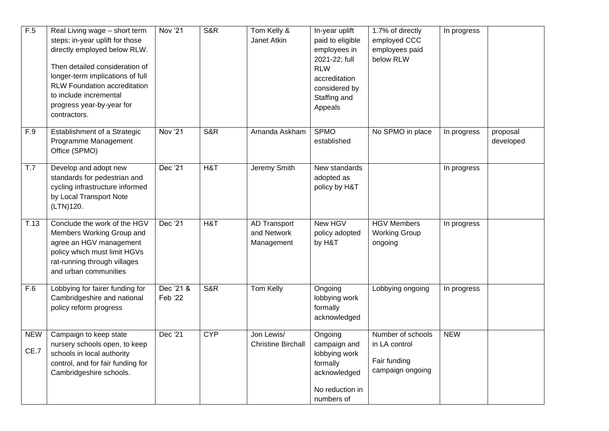| F.5                | Real Living wage - short term<br>steps: in-year uplift for those<br>directly employed below RLW.<br>Then detailed consideration of<br>longer-term implications of full<br>RLW Foundation accreditation<br>to include incremental<br>progress year-by-year for<br>contractors. | <b>Nov '21</b>       | <b>S&amp;R</b> | Tom Kelly &<br>Janet Atkin                       | In-year uplift<br>paid to eligible<br>employees in<br>2021-22; full<br><b>RLW</b><br>accreditation<br>considered by<br>Staffing and<br>Appeals | 1.7% of directly<br>employed CCC<br>employees paid<br>below RLW        | In progress |                       |
|--------------------|-------------------------------------------------------------------------------------------------------------------------------------------------------------------------------------------------------------------------------------------------------------------------------|----------------------|----------------|--------------------------------------------------|------------------------------------------------------------------------------------------------------------------------------------------------|------------------------------------------------------------------------|-------------|-----------------------|
| F.9                | Establishment of a Strategic<br>Programme Management<br>Office (SPMO)                                                                                                                                                                                                         | <b>Nov '21</b>       | S&R            | Amanda Askham                                    | <b>SPMO</b><br>established                                                                                                                     | No SPMO in place                                                       | In progress | proposal<br>developed |
| T.7                | Develop and adopt new<br>standards for pedestrian and<br>cycling infrastructure informed<br>by Local Transport Note<br>(LTN)120.                                                                                                                                              | Dec '21              | H&T            | Jeremy Smith                                     | New standards<br>adopted as<br>policy by H&T                                                                                                   |                                                                        | In progress |                       |
| T.13               | Conclude the work of the HGV<br>Members Working Group and<br>agree an HGV management<br>policy which must limit HGVs<br>rat-running through villages<br>and urban communities                                                                                                 | Dec '21              | H&T            | <b>AD Transport</b><br>and Network<br>Management | New HGV<br>policy adopted<br>by H&T                                                                                                            | <b>HGV Members</b><br><b>Working Group</b><br>ongoing                  | In progress |                       |
| F.6                | Lobbying for fairer funding for<br>Cambridgeshire and national<br>policy reform progress                                                                                                                                                                                      | Dec '21 &<br>Feb '22 | S&R            | Tom Kelly                                        | Ongoing<br>lobbying work<br>formally<br>acknowledged                                                                                           | Lobbying ongoing                                                       | In progress |                       |
| <b>NEW</b><br>CE.7 | Campaign to keep state<br>nursery schools open, to keep<br>schools in local authority<br>control, and for fair funding for<br>Cambridgeshire schools.                                                                                                                         | Dec '21              | <b>CYP</b>     | Jon Lewis/<br><b>Christine Birchall</b>          | Ongoing<br>campaign and<br>lobbying work<br>formally<br>acknowledged<br>No reduction in<br>numbers of                                          | Number of schools<br>in LA control<br>Fair funding<br>campaign ongoing | <b>NEW</b>  |                       |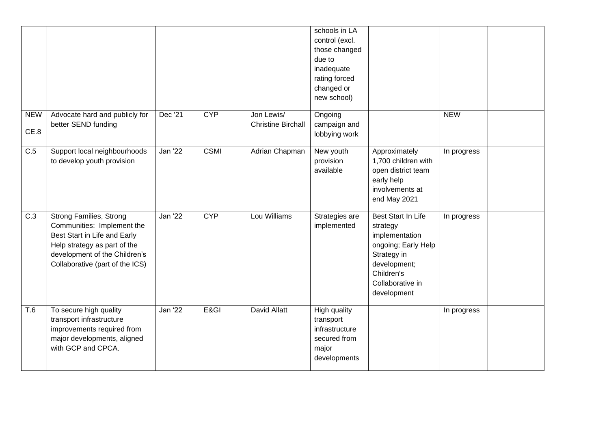|                    |                                                                                                                                                                                                  |         |             |                                         | schools in LA<br>control (excl.<br>those changed<br>due to<br>inadequate<br>rating forced<br>changed or<br>new school) |                                                                                                                                                                |             |  |
|--------------------|--------------------------------------------------------------------------------------------------------------------------------------------------------------------------------------------------|---------|-------------|-----------------------------------------|------------------------------------------------------------------------------------------------------------------------|----------------------------------------------------------------------------------------------------------------------------------------------------------------|-------------|--|
| <b>NEW</b><br>CE.8 | Advocate hard and publicly for<br>better SEND funding                                                                                                                                            | Dec '21 | <b>CYP</b>  | Jon Lewis/<br><b>Christine Birchall</b> | Ongoing<br>campaign and<br>lobbying work                                                                               |                                                                                                                                                                | <b>NEW</b>  |  |
| $\overline{C.5}$   | Support local neighbourhoods<br>to develop youth provision                                                                                                                                       | Jan '22 | <b>CSMI</b> | Adrian Chapman                          | New youth<br>provision<br>available                                                                                    | Approximately<br>1,700 children with<br>open district team<br>early help<br>involvements at<br>end May 2021                                                    | In progress |  |
| $\overline{C.3}$   | <b>Strong Families, Strong</b><br>Communities: Implement the<br>Best Start in Life and Early<br>Help strategy as part of the<br>development of the Children's<br>Collaborative (part of the ICS) | Jan '22 | <b>CYP</b>  | Lou Williams                            | Strategies are<br>implemented                                                                                          | <b>Best Start In Life</b><br>strategy<br>implementation<br>ongoing; Early Help<br>Strategy in<br>development;<br>Children's<br>Collaborative in<br>development | In progress |  |
| T.6                | To secure high quality<br>transport infrastructure<br>improvements required from<br>major developments, aligned<br>with GCP and CPCA.                                                            | Jan '22 | E&GI        | David Allatt                            | High quality<br>transport<br>infrastructure<br>secured from<br>major<br>developments                                   |                                                                                                                                                                | In progress |  |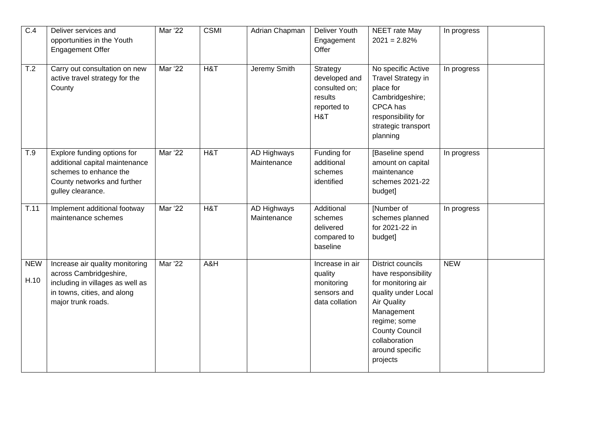| C.4                | Deliver services and<br>opportunities in the Youth<br><b>Engagement Offer</b>                                                                      | Mar '22 | <b>CSMI</b> | <b>Adrian Chapman</b>      | Deliver Youth<br>Engagement<br>Offer                                        | NEET rate May<br>$2021 = 2.82\%$                                                                                                                                                                                          | In progress |  |
|--------------------|----------------------------------------------------------------------------------------------------------------------------------------------------|---------|-------------|----------------------------|-----------------------------------------------------------------------------|---------------------------------------------------------------------------------------------------------------------------------------------------------------------------------------------------------------------------|-------------|--|
| T.2                | Carry out consultation on new<br>active travel strategy for the<br>County                                                                          | Mar '22 | H&T         | Jeremy Smith               | Strategy<br>developed and<br>consulted on;<br>results<br>reported to<br>H&T | No specific Active<br>Travel Strategy in<br>place for<br>Cambridgeshire;<br>CPCA has<br>responsibility for<br>strategic transport<br>planning                                                                             | In progress |  |
| T.9                | Explore funding options for<br>additional capital maintenance<br>schemes to enhance the<br>County networks and further<br>gulley clearance.        | Mar '22 | H&T         | AD Highways<br>Maintenance | Funding for<br>additional<br>schemes<br>identified                          | [Baseline spend<br>amount on capital<br>maintenance<br>schemes 2021-22<br>budget]                                                                                                                                         | In progress |  |
| T.11               | Implement additional footway<br>maintenance schemes                                                                                                | Mar '22 | H&T         | AD Highways<br>Maintenance | Additional<br>schemes<br>delivered<br>compared to<br>baseline               | [Number of<br>schemes planned<br>for 2021-22 in<br>budget]                                                                                                                                                                | In progress |  |
| <b>NEW</b><br>H.10 | Increase air quality monitoring<br>across Cambridgeshire,<br>including in villages as well as<br>in towns, cities, and along<br>major trunk roads. | Mar '22 | A&H         |                            | Increase in air<br>quality<br>monitoring<br>sensors and<br>data collation   | <b>District councils</b><br>have responsibility<br>for monitoring air<br>quality under Local<br><b>Air Quality</b><br>Management<br>regime; some<br><b>County Council</b><br>collaboration<br>around specific<br>projects | <b>NEW</b>  |  |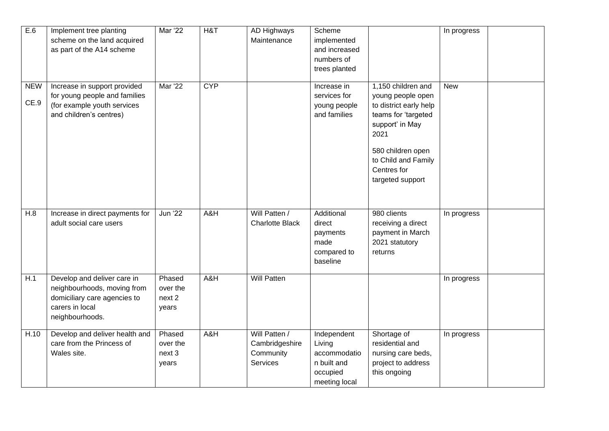| E.6                | Implement tree planting<br>scheme on the land acquired<br>as part of the A14 scheme                                              | <b>Mar</b> '22                        | H&T        | <b>AD Highways</b><br>Maintenance                        | Scheme<br>implemented<br>and increased<br>numbers of<br>trees planted             |                                                                                                                                                                                                    | In progress |  |
|--------------------|----------------------------------------------------------------------------------------------------------------------------------|---------------------------------------|------------|----------------------------------------------------------|-----------------------------------------------------------------------------------|----------------------------------------------------------------------------------------------------------------------------------------------------------------------------------------------------|-------------|--|
| <b>NEW</b><br>CE.9 | Increase in support provided<br>for young people and families<br>(for example youth services<br>and children's centres)          | Mar '22                               | <b>CYP</b> |                                                          | Increase in<br>services for<br>young people<br>and families                       | 1,150 children and<br>young people open<br>to district early help<br>teams for 'targeted<br>support' in May<br>2021<br>580 children open<br>to Child and Family<br>Centres for<br>targeted support | <b>New</b>  |  |
| H.8                | Increase in direct payments for<br>adult social care users                                                                       | <b>Jun</b> '22                        | A&H        | Will Patten /<br><b>Charlotte Black</b>                  | Additional<br>direct<br>payments<br>made<br>compared to<br>baseline               | 980 clients<br>receiving a direct<br>payment in March<br>2021 statutory<br>returns                                                                                                                 | In progress |  |
| H.1                | Develop and deliver care in<br>neighbourhoods, moving from<br>domiciliary care agencies to<br>carers in local<br>neighbourhoods. | Phased<br>over the<br>next 2<br>years | A&H        | <b>Will Patten</b>                                       |                                                                                   |                                                                                                                                                                                                    | In progress |  |
| H.10               | Develop and deliver health and<br>care from the Princess of<br>Wales site.                                                       | Phased<br>over the<br>next 3<br>years | A&H        | Will Patten /<br>Cambridgeshire<br>Community<br>Services | Independent<br>Living<br>accommodatio<br>n built and<br>occupied<br>meeting local | Shortage of<br>residential and<br>nursing care beds,<br>project to address<br>this ongoing                                                                                                         | In progress |  |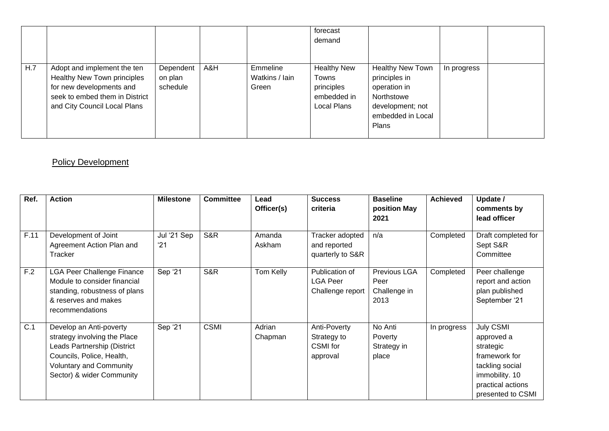|     |                                                                                                                                                          |                                  |     |                                     | forecast<br>demand                                                      |                                                                                                                          |             |  |
|-----|----------------------------------------------------------------------------------------------------------------------------------------------------------|----------------------------------|-----|-------------------------------------|-------------------------------------------------------------------------|--------------------------------------------------------------------------------------------------------------------------|-------------|--|
| H.7 | Adopt and implement the ten<br>Healthy New Town principles<br>for new developments and<br>seek to embed them in District<br>and City Council Local Plans | Dependent<br>on plan<br>schedule | A&H | Emmeline<br>Watkins / Iain<br>Green | <b>Healthy New</b><br>Towns<br>principles<br>embedded in<br>Local Plans | <b>Healthy New Town</b><br>principles in<br>operation in<br>Northstowe<br>development; not<br>embedded in Local<br>Plans | In progress |  |

#### **Policy Development**

| Ref. | <b>Action</b>                                                                                                                                                                      | <b>Milestone</b>   | <b>Committee</b> | Lead<br>Officer(s) | <b>Success</b><br>criteria                            | <b>Baseline</b><br>position May<br>2021      | <b>Achieved</b> | Update /<br>comments by<br>lead officer                                                                                              |
|------|------------------------------------------------------------------------------------------------------------------------------------------------------------------------------------|--------------------|------------------|--------------------|-------------------------------------------------------|----------------------------------------------|-----------------|--------------------------------------------------------------------------------------------------------------------------------------|
| F.11 | Development of Joint<br>Agreement Action Plan and<br>Tracker                                                                                                                       | Jul '21 Sep<br>'21 | S&R              | Amanda<br>Askham   | Tracker adopted<br>and reported<br>quarterly to S&R   | n/a                                          | Completed       | Draft completed for<br>Sept S&R<br>Committee                                                                                         |
| F.2  | <b>LGA Peer Challenge Finance</b><br>Module to consider financial<br>standing, robustness of plans<br>& reserves and makes<br>recommendations                                      | Sep '21            | S&R              | Tom Kelly          | Publication of<br><b>LGA Peer</b><br>Challenge report | Previous LGA<br>Peer<br>Challenge in<br>2013 | Completed       | Peer challenge<br>report and action<br>plan published<br>September '21                                                               |
| C.1  | Develop an Anti-poverty<br>strategy involving the Place<br>Leads Partnership (District<br>Councils, Police, Health,<br><b>Voluntary and Community</b><br>Sector) & wider Community | Sep '21            | <b>CSMI</b>      | Adrian<br>Chapman  | Anti-Poverty<br>Strategy to<br>CSMI for<br>approval   | No Anti<br>Poverty<br>Strategy in<br>place   | In progress     | July CSMI<br>approved a<br>strategic<br>framework for<br>tackling social<br>immobility. 10<br>practical actions<br>presented to CSMI |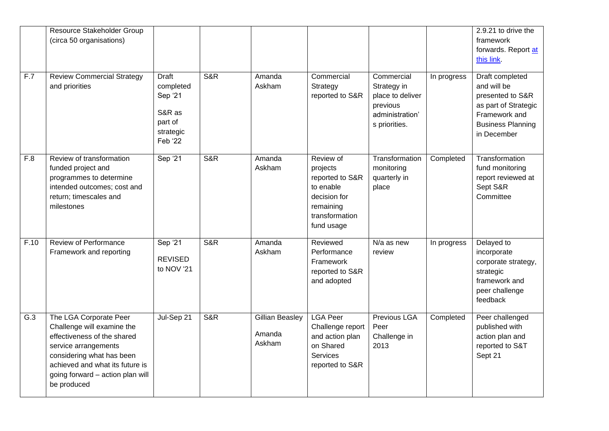| F.7              | Resource Stakeholder Group<br>(circa 50 organisations)<br><b>Review Commercial Strategy</b><br>and priorities                                                                                                                  | <b>Draft</b><br>completed<br>Sep '21<br>S&R as<br>part of<br>strategic | <b>S&amp;R</b> | Amanda<br>Askham                           | Commercial<br>Strategy<br>reported to S&R                                                                          | Commercial<br>Strategy in<br>place to deliver<br>previous<br>administration'<br>s priorities. | In progress | 2.9.21 to drive the<br>framework<br>forwards. Report at<br>this link.<br>Draft completed<br>and will be<br>presented to S&R<br>as part of Strategic<br>Framework and<br><b>Business Planning</b> |
|------------------|--------------------------------------------------------------------------------------------------------------------------------------------------------------------------------------------------------------------------------|------------------------------------------------------------------------|----------------|--------------------------------------------|--------------------------------------------------------------------------------------------------------------------|-----------------------------------------------------------------------------------------------|-------------|--------------------------------------------------------------------------------------------------------------------------------------------------------------------------------------------------|
|                  |                                                                                                                                                                                                                                | Feb '22                                                                |                |                                            |                                                                                                                    |                                                                                               |             | in December                                                                                                                                                                                      |
| F.8              | Review of transformation<br>funded project and<br>programmes to determine<br>intended outcomes; cost and<br>return; timescales and<br>milestones                                                                               | Sep '21                                                                | <b>S&amp;R</b> | Amanda<br>Askham                           | Review of<br>projects<br>reported to S&R<br>to enable<br>decision for<br>remaining<br>transformation<br>fund usage | Transformation<br>monitoring<br>quarterly in<br>place                                         | Completed   | Transformation<br>fund monitoring<br>report reviewed at<br>Sept S&R<br>Committee                                                                                                                 |
| F.10             | <b>Review of Performance</b><br>Framework and reporting                                                                                                                                                                        | Sep '21<br><b>REVISED</b><br>to NOV '21                                | <b>S&amp;R</b> | Amanda<br>Askham                           | Reviewed<br>Performance<br>Framework<br>reported to S&R<br>and adopted                                             | N/a as new<br>review                                                                          | In progress | Delayed to<br>incorporate<br>corporate strategy,<br>strategic<br>framework and<br>peer challenge<br>feedback                                                                                     |
| $\overline{G.3}$ | The LGA Corporate Peer<br>Challenge will examine the<br>effectiveness of the shared<br>service arrangements<br>considering what has been<br>achieved and what its future is<br>going forward - action plan will<br>be produced | Jul-Sep 21                                                             | <b>S&amp;R</b> | <b>Gillian Beasley</b><br>Amanda<br>Askham | <b>LGA Peer</b><br>Challenge report<br>and action plan<br>on Shared<br><b>Services</b><br>reported to S&R          | <b>Previous LGA</b><br>Peer<br>Challenge in<br>2013                                           | Completed   | Peer challenged<br>published with<br>action plan and<br>reported to S&T<br>Sept 21                                                                                                               |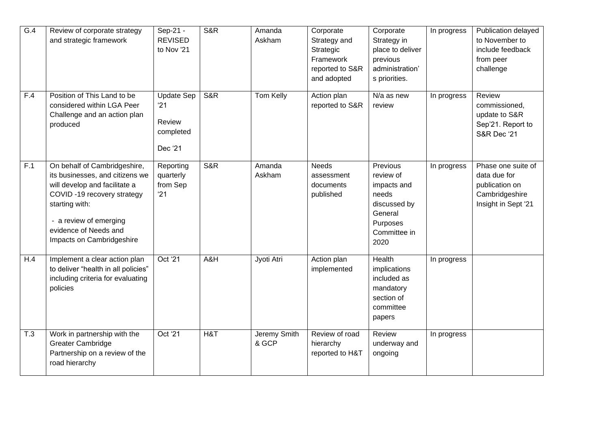| G.4 | Review of corporate strategy<br>and strategic framework                                                                                                                                                                          | Sep-21 -<br><b>REVISED</b><br>to Nov '21                   | <b>S&amp;R</b> | Amanda<br>Askham      | Corporate<br>Strategy and<br>Strategic<br>Framework<br>reported to S&R<br>and adopted | Corporate<br>Strategy in<br>place to deliver<br>previous<br>administration'<br>s priorities.                 | In progress | Publication delayed<br>to November to<br>include feedback<br>from peer<br>challenge           |
|-----|----------------------------------------------------------------------------------------------------------------------------------------------------------------------------------------------------------------------------------|------------------------------------------------------------|----------------|-----------------------|---------------------------------------------------------------------------------------|--------------------------------------------------------------------------------------------------------------|-------------|-----------------------------------------------------------------------------------------------|
| F.4 | Position of This Land to be<br>considered within LGA Peer<br>Challenge and an action plan<br>produced                                                                                                                            | <b>Update Sep</b><br>'21<br>Review<br>completed<br>Dec '21 | S&R            | Tom Kelly             | Action plan<br>reported to S&R                                                        | N/a as new<br>review                                                                                         | In progress | Review<br>commissioned,<br>update to S&R<br>Sep'21. Report to<br><b>S&amp;R Dec '21</b>       |
| F.1 | On behalf of Cambridgeshire,<br>its businesses, and citizens we<br>will develop and facilitate a<br>COVID-19 recovery strategy<br>starting with:<br>- a review of emerging<br>evidence of Needs and<br>Impacts on Cambridgeshire | Reporting<br>quarterly<br>from Sep<br>'21                  | S&R            | Amanda<br>Askham      | <b>Needs</b><br>assessment<br>documents<br>published                                  | Previous<br>review of<br>impacts and<br>needs<br>discussed by<br>General<br>Purposes<br>Committee in<br>2020 | In progress | Phase one suite of<br>data due for<br>publication on<br>Cambridgeshire<br>Insight in Sept '21 |
| H.4 | Implement a clear action plan<br>to deliver "health in all policies"<br>including criteria for evaluating<br>policies                                                                                                            | Oct '21                                                    | A&H            | Jyoti Atri            | Action plan<br>implemented                                                            | Health<br>implications<br>included as<br>mandatory<br>section of<br>committee<br>papers                      | In progress |                                                                                               |
| T.3 | Work in partnership with the<br><b>Greater Cambridge</b><br>Partnership on a review of the<br>road hierarchy                                                                                                                     | Oct '21                                                    | H&T            | Jeremy Smith<br>& GCP | Review of road<br>hierarchy<br>reported to H&T                                        | Review<br>underway and<br>ongoing                                                                            | In progress |                                                                                               |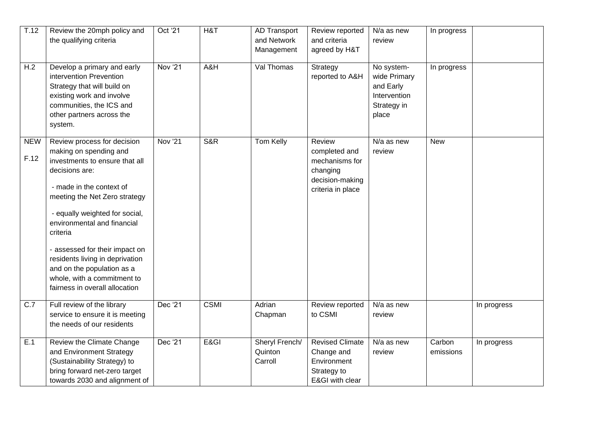| $\overline{T.12}$<br>H.2 | Review the 20mph policy and<br>the qualifying criteria<br>Develop a primary and early                                                                                                                                                                                                                                                                                                                                   | Oct '21<br><b>Nov '21</b> | H&T<br>A&H  | <b>AD Transport</b><br>and Network<br>Management<br>Val Thomas | Review reported<br>and criteria<br>agreed by H&T                                              | N/a as new<br>review<br>No system-                                | In progress         |             |
|--------------------------|-------------------------------------------------------------------------------------------------------------------------------------------------------------------------------------------------------------------------------------------------------------------------------------------------------------------------------------------------------------------------------------------------------------------------|---------------------------|-------------|----------------------------------------------------------------|-----------------------------------------------------------------------------------------------|-------------------------------------------------------------------|---------------------|-------------|
|                          | intervention Prevention<br>Strategy that will build on<br>existing work and involve<br>communities, the ICS and<br>other partners across the<br>system.                                                                                                                                                                                                                                                                 |                           |             |                                                                | Strategy<br>reported to A&H                                                                   | wide Primary<br>and Early<br>Intervention<br>Strategy in<br>place | In progress         |             |
| <b>NEW</b><br>F.12       | Review process for decision<br>making on spending and<br>investments to ensure that all<br>decisions are:<br>- made in the context of<br>meeting the Net Zero strategy<br>- equally weighted for social,<br>environmental and financial<br>criteria<br>- assessed for their impact on<br>residents living in deprivation<br>and on the population as a<br>whole, with a commitment to<br>fairness in overall allocation | <b>Nov '21</b>            | S&R         | <b>Tom Kelly</b>                                               | Review<br>completed and<br>mechanisms for<br>changing<br>decision-making<br>criteria in place | N/a as new<br>review                                              | <b>New</b>          |             |
| C.7                      | Full review of the library<br>service to ensure it is meeting<br>the needs of our residents                                                                                                                                                                                                                                                                                                                             | Dec '21                   | <b>CSMI</b> | Adrian<br>Chapman                                              | Review reported<br>to CSMI                                                                    | N/a as new<br>review                                              |                     | In progress |
| E.1                      | Review the Climate Change<br>and Environment Strategy<br>(Sustainability Strategy) to<br>bring forward net-zero target<br>towards 2030 and alignment of                                                                                                                                                                                                                                                                 | Dec '21                   | E&GI        | Sheryl French/<br>Quinton<br>Carroll                           | <b>Revised Climate</b><br>Change and<br>Environment<br>Strategy to<br>E&GI with clear         | $\overline{N/a}$ as new<br>review                                 | Carbon<br>emissions | In progress |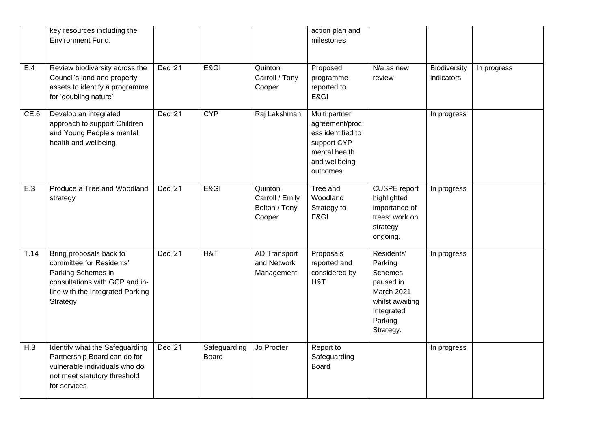|      | key resources including the<br>Environment Fund.                                                                                                            |         |                              |                                                       | action plan and<br>milestones                                                                                     |                                                                                                                             |                            |             |
|------|-------------------------------------------------------------------------------------------------------------------------------------------------------------|---------|------------------------------|-------------------------------------------------------|-------------------------------------------------------------------------------------------------------------------|-----------------------------------------------------------------------------------------------------------------------------|----------------------------|-------------|
| E.4  | Review biodiversity across the<br>Council's land and property<br>assets to identify a programme<br>for 'doubling nature'                                    | Dec '21 | E&GI                         | Quinton<br>Carroll / Tony<br>Cooper                   | Proposed<br>programme<br>reported to<br>E&GI                                                                      | N/a as new<br>review                                                                                                        | Biodiversity<br>indicators | In progress |
| CE.6 | Develop an integrated<br>approach to support Children<br>and Young People's mental<br>health and wellbeing                                                  | Dec '21 | <b>CYP</b>                   | Raj Lakshman                                          | Multi partner<br>agreement/proc<br>ess identified to<br>support CYP<br>mental health<br>and wellbeing<br>outcomes |                                                                                                                             | In progress                |             |
| E.3  | Produce a Tree and Woodland<br>strategy                                                                                                                     | Dec '21 | E&GI                         | Quinton<br>Carroll / Emily<br>Bolton / Tony<br>Cooper | Tree and<br>Woodland<br>Strategy to<br>E&GI                                                                       | CUSPE report<br>highlighted<br>importance of<br>trees; work on<br>strategy<br>ongoing.                                      | In progress                |             |
| T.14 | Bring proposals back to<br>committee for Residents'<br>Parking Schemes in<br>consultations with GCP and in-<br>line with the Integrated Parking<br>Strategy | Dec '21 | H&T                          | AD Transport<br>and Network<br>Management             | Proposals<br>reported and<br>considered by<br>H&T                                                                 | Residents'<br>Parking<br><b>Schemes</b><br>paused in<br>March 2021<br>whilst awaiting<br>Integrated<br>Parking<br>Strategy. | In progress                |             |
| H.3  | Identify what the Safeguarding<br>Partnership Board can do for<br>vulnerable individuals who do<br>not meet statutory threshold<br>for services             | Dec '21 | Safeguarding<br><b>Board</b> | Jo Procter                                            | Report to<br>Safeguarding<br><b>Board</b>                                                                         |                                                                                                                             | In progress                |             |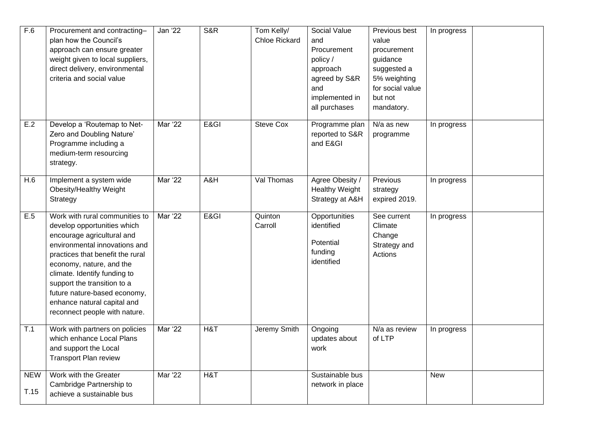| F.6                | Procurement and contracting-<br>plan how the Council's<br>approach can ensure greater<br>weight given to local suppliers,<br>direct delivery, environmental<br>criteria and social value                                                                                                                                                                    | Jan '22        | <b>S&amp;R</b> | Tom Kelly/<br><b>Chloe Rickard</b> | Social Value<br>and<br>Procurement<br>policy /<br>approach<br>agreed by S&R<br>and<br>implemented in<br>all purchases | Previous best<br>value<br>procurement<br>guidance<br>suggested a<br>5% weighting<br>for social value<br>but not<br>mandatory. | In progress |  |
|--------------------|-------------------------------------------------------------------------------------------------------------------------------------------------------------------------------------------------------------------------------------------------------------------------------------------------------------------------------------------------------------|----------------|----------------|------------------------------------|-----------------------------------------------------------------------------------------------------------------------|-------------------------------------------------------------------------------------------------------------------------------|-------------|--|
| E.2                | Develop a 'Routemap to Net-<br>Zero and Doubling Nature'<br>Programme including a<br>medium-term resourcing<br>strategy.                                                                                                                                                                                                                                    | Mar '22        | E&GI           | <b>Steve Cox</b>                   | Programme plan<br>reported to S&R<br>and E&GI                                                                         | $\overline{N}/a$ as new<br>programme                                                                                          | In progress |  |
| H.6                | Implement a system wide<br>Obesity/Healthy Weight<br>Strategy                                                                                                                                                                                                                                                                                               | <b>Mar</b> '22 | A&H            | Val Thomas                         | Agree Obesity /<br><b>Healthy Weight</b><br>Strategy at A&H                                                           | Previous<br>strategy<br>expired 2019.                                                                                         | In progress |  |
| E.5                | Work with rural communities to<br>develop opportunities which<br>encourage agricultural and<br>environmental innovations and<br>practices that benefit the rural<br>economy, nature, and the<br>climate. Identify funding to<br>support the transition to a<br>future nature-based economy,<br>enhance natural capital and<br>reconnect people with nature. | <b>Mar</b> '22 | E&GI           | Quinton<br>Carroll                 | <b>Opportunities</b><br>identified<br>Potential<br>funding<br>identified                                              | See current<br>Climate<br>Change<br>Strategy and<br>Actions                                                                   | In progress |  |
| T.1                | Work with partners on policies<br>which enhance Local Plans<br>and support the Local<br><b>Transport Plan review</b>                                                                                                                                                                                                                                        | Mar '22        | H&T            | Jeremy Smith                       | Ongoing<br>updates about<br>work                                                                                      | N/a as review<br>of LTP                                                                                                       | In progress |  |
| <b>NEW</b><br>T.15 | Work with the Greater<br>Cambridge Partnership to<br>achieve a sustainable bus                                                                                                                                                                                                                                                                              | <b>Mar '22</b> | H&T            |                                    | Sustainable bus<br>network in place                                                                                   |                                                                                                                               | <b>New</b>  |  |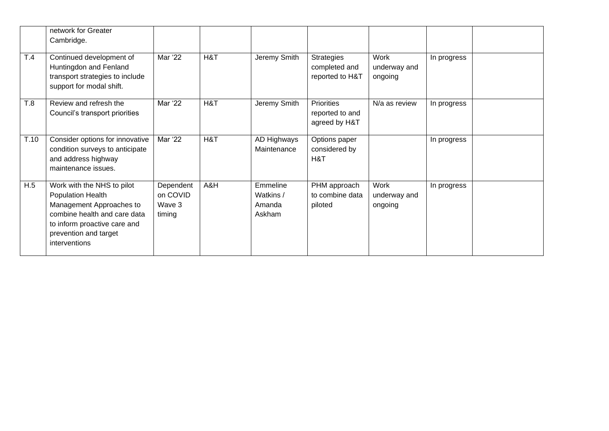|      | network for Greater<br>Cambridge.                                                                                                                                                     |                                           |     |                                           |                                                       |                                 |             |  |
|------|---------------------------------------------------------------------------------------------------------------------------------------------------------------------------------------|-------------------------------------------|-----|-------------------------------------------|-------------------------------------------------------|---------------------------------|-------------|--|
| T.4  | Continued development of<br>Huntingdon and Fenland<br>transport strategies to include<br>support for modal shift.                                                                     | Mar '22                                   | H&T | Jeremy Smith                              | <b>Strategies</b><br>completed and<br>reported to H&T | Work<br>underway and<br>ongoing | In progress |  |
| T.8  | Review and refresh the<br>Council's transport priorities                                                                                                                              | Mar '22                                   | H&T | Jeremy Smith                              | <b>Priorities</b><br>reported to and<br>agreed by H&T | N/a as review                   | In progress |  |
| T.10 | Consider options for innovative<br>condition surveys to anticipate<br>and address highway<br>maintenance issues.                                                                      | Mar '22                                   | H&T | AD Highways<br>Maintenance                | Options paper<br>considered by<br>H&T                 |                                 | In progress |  |
| H.5  | Work with the NHS to pilot<br>Population Health<br>Management Approaches to<br>combine health and care data<br>to inform proactive care and<br>prevention and target<br>interventions | Dependent<br>on COVID<br>Wave 3<br>timing | A&H | Emmeline<br>Watkins /<br>Amanda<br>Askham | PHM approach<br>to combine data<br>piloted            | Work<br>underway and<br>ongoing | In progress |  |